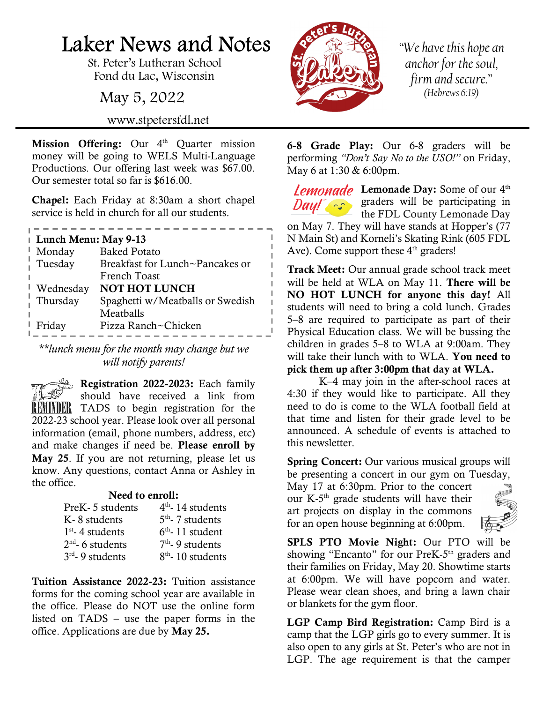## Laker News and Notes

St. Peter's Lutheran School Fond du Lac, Wisconsin

May 5, 2022

www.stpetersfdl.net

Mission Offering: Our 4<sup>th</sup> Quarter mission money will be going to WELS Multi-Language Productions. Our offering last week was \$67.00. Our semester total so far is \$616.00.

Chapel: Each Friday at 8:30am a short chapel service is held in church for all our students.

| Lunch Menu: May 9-13 |                                  |  |
|----------------------|----------------------------------|--|
| Monday               | <b>Baked Potato</b>              |  |
| Tuesday              | Breakfast for Lunch~Pancakes or  |  |
|                      | French Toast                     |  |
| Wednesday            | <b>NOT HOT LUNCH</b>             |  |
| Thursday             | Spaghetti w/Meatballs or Swedish |  |
|                      | Meatballs                        |  |
| Friday               | Pizza Ranch~Chicken              |  |

\*\*lunch menu for the month may change but we will notify parents!

Registration 2022-2023: Each family should have received a link from REMINDER TADS to begin registration for the 2022-23 school year. Please look over all personal information (email, phone numbers, address, etc) and make changes if need be. Please enroll by May 25. If you are not returning, please let us know. Any questions, contact Anna or Ashley in the office.

## Need to enroll:

| PreK - 5 students  | $4th$ - 14 students |
|--------------------|---------------------|
| K-8 students       | $5th$ - 7 students  |
| $1st$ - 4 students | $6th$ - 11 student  |
| $2nd$ - 6 students | $7th$ - 9 students  |
| $3rd$ - 9 students | $8th$ - 10 students |

Tuition Assistance 2022-23: Tuition assistance forms for the coming school year are available in the office. Please do NOT use the online form listed on TADS – use the paper forms in the office. Applications are due by May 25.



"We have this hope an anchor for the soul, firm and secure." (Hebrews 6:19)

6-8 Grade Play: Our 6-8 graders will be performing "Don't Say No to the USO!" on Friday, May 6 at 1:30 & 6:00pm.

Lemonade Day: Some of our 4<sup>th</sup> graders will be participating in the FDL County Lemonade Day on May 7. They will have stands at Hopper's (77 N Main St) and Korneli's Skating Rink (605 FDL Ave). Come support these  $4<sup>th</sup>$  graders!

Track Meet: Our annual grade school track meet will be held at WLA on May 11. There will be NO HOT LUNCH for anyone this day! All students will need to bring a cold lunch. Grades 5–8 are required to participate as part of their Physical Education class. We will be bussing the children in grades 5–8 to WLA at 9:00am. They will take their lunch with to WLA. You need to pick them up after 3:00pm that day at WLA.

 K–4 may join in the after-school races at 4:30 if they would like to participate. All they need to do is come to the WLA football field at that time and listen for their grade level to be announced. A schedule of events is attached to this newsletter.

Spring Concert: Our various musical groups will be presenting a concert in our gym on Tuesday,

May 17 at 6:30pm. Prior to the concert our K-5th grade students will have their art projects on display in the commons for an open house beginning at 6:00pm.



SPLS PTO Movie Night: Our PTO will be showing "Encanto" for our PreK- $5<sup>th</sup>$  graders and their families on Friday, May 20. Showtime starts at 6:00pm. We will have popcorn and water. Please wear clean shoes, and bring a lawn chair or blankets for the gym floor.

LGP Camp Bird Registration: Camp Bird is a camp that the LGP girls go to every summer. It is also open to any girls at St. Peter's who are not in LGP. The age requirement is that the camper